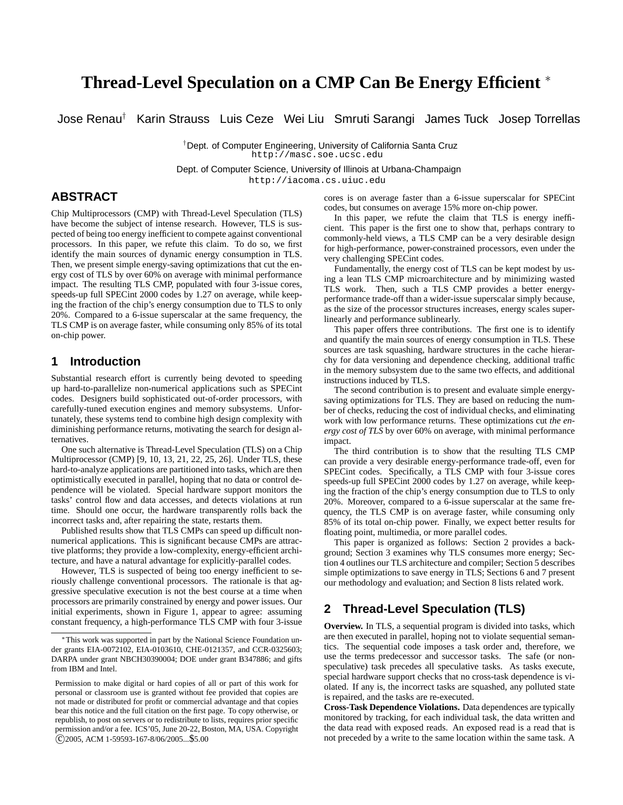# **Thread-Level Speculation on a CMP Can Be Energy Efficient** <sup>∗</sup>

Jose Renau† Karin Strauss Luis Ceze Wei Liu Smruti Sarangi James Tuck Josep Torrellas

†Dept. of Computer Engineering, University of California Santa Cruz http://masc.soe.ucsc.edu

Dept. of Computer Science, University of Illinois at Urbana-Champaign

http://iacoma.cs.uiuc.edu

# **ABSTRACT**

Chip Multiprocessors (CMP) with Thread-Level Speculation (TLS) have become the subject of intense research. However, TLS is suspected of being too energy inefficient to compete against conventional processors. In this paper, we refute this claim. To do so, we first identify the main sources of dynamic energy consumption in TLS. Then, we present simple energy-saving optimizations that cut the energy cost of TLS by over 60% on average with minimal performance impact. The resulting TLS CMP, populated with four 3-issue cores, speeds-up full SPECint 2000 codes by 1.27 on average, while keeping the fraction of the chip's energy consumption due to TLS to only 20%. Compared to a 6-issue superscalar at the same frequency, the TLS CMP is on average faster, while consuming only 85% of its total on-chip power.

# **1 Introduction**

Substantial research effort is currently being devoted to speeding up hard-to-parallelize non-numerical applications such as SPECint codes. Designers build sophisticated out-of-order processors, with carefully-tuned execution engines and memory subsystems. Unfortunately, these systems tend to combine high design complexity with diminishing performance returns, motivating the search for design alternatives.

One such alternative is Thread-Level Speculation (TLS) on a Chip Multiprocessor (CMP) [9, 10, 13, 21, 22, 25, 26]. Under TLS, these hard-to-analyze applications are partitioned into tasks, which are then optimistically executed in parallel, hoping that no data or control dependence will be violated. Special hardware support monitors the tasks' control flow and data accesses, and detects violations at run time. Should one occur, the hardware transparently rolls back the incorrect tasks and, after repairing the state, restarts them.

Published results show that TLS CMPs can speed up difficult nonnumerical applications. This is significant because CMPs are attractive platforms; they provide a low-complexity, energy-efficient architecture, and have a natural advantage for explicitly-parallel codes.

However, TLS is suspected of being too energy inefficient to seriously challenge conventional processors. The rationale is that aggressive speculative execution is not the best course at a time when processors are primarily constrained by energy and power issues. Our initial experiments, shown in Figure 1, appear to agree: assuming constant frequency, a high-performance TLS CMP with four 3-issue cores is on average faster than a 6-issue superscalar for SPECint codes, but consumes on average 15% more on-chip power.

In this paper, we refute the claim that TLS is energy inefficient. This paper is the first one to show that, perhaps contrary to commonly-held views, a TLS CMP can be a very desirable design for high-performance, power-constrained processors, even under the very challenging SPECint codes.

Fundamentally, the energy cost of TLS can be kept modest by using a lean TLS CMP microarchitecture and by minimizing wasted TLS work. Then, such a TLS CMP provides a better energyperformance trade-off than a wider-issue superscalar simply because, as the size of the processor structures increases, energy scales superlinearly and performance sublinearly.

This paper offers three contributions. The first one is to identify and quantify the main sources of energy consumption in TLS. These sources are task squashing, hardware structures in the cache hierarchy for data versioning and dependence checking, additional traffic in the memory subsystem due to the same two effects, and additional instructions induced by TLS.

The second contribution is to present and evaluate simple energysaving optimizations for TLS. They are based on reducing the number of checks, reducing the cost of individual checks, and eliminating work with low performance returns. These optimizations cut *the energy cost of TLS* by over 60% on average, with minimal performance impact.

The third contribution is to show that the resulting TLS CMP can provide a very desirable energy-performance trade-off, even for SPECint codes. Specifically, a TLS CMP with four 3-issue cores speeds-up full SPECint 2000 codes by 1.27 on average, while keeping the fraction of the chip's energy consumption due to TLS to only 20%. Moreover, compared to a 6-issue superscalar at the same frequency, the TLS CMP is on average faster, while consuming only 85% of its total on-chip power. Finally, we expect better results for floating point, multimedia, or more parallel codes.

This paper is organized as follows: Section 2 provides a background; Section 3 examines why TLS consumes more energy; Section 4 outlines our TLS architecture and compiler; Section 5 describes simple optimizations to save energy in TLS; Sections 6 and 7 present our methodology and evaluation; and Section 8 lists related work.

# **2 Thread-Level Speculation (TLS)**

**Overview.** In TLS, a sequential program is divided into tasks, which are then executed in parallel, hoping not to violate sequential semantics. The sequential code imposes a task order and, therefore, we use the terms predecessor and successor tasks. The safe (or nonspeculative) task precedes all speculative tasks. As tasks execute, special hardware support checks that no cross-task dependence is violated. If any is, the incorrect tasks are squashed, any polluted state is repaired, and the tasks are re-executed.

**Cross-Task Dependence Violations.** Data dependences are typically monitored by tracking, for each individual task, the data written and the data read with exposed reads. An exposed read is a read that is not preceded by a write to the same location within the same task. A

<sup>∗</sup>This work was supported in part by the National Science Foundation under grants EIA-0072102, EIA-0103610, CHE-0121357, and CCR-0325603; DARPA under grant NBCH30390004; DOE under grant B347886; and gifts from IBM and Intel.

Permission to make digital or hard copies of all or part of this work for personal or classroom use is granted without fee provided that copies are not made or distributed for profit or commercial advantage and that copies bear this notice and the full citation on the first page. To copy otherwise, or republish, to post on servers or to redistribute to lists, requires prior specific permission and/or a fee. ICS'05, June 20-22, Boston, MA, USA. Copyright c 2005, ACM 1-59593-167-8/06/2005...\$5.00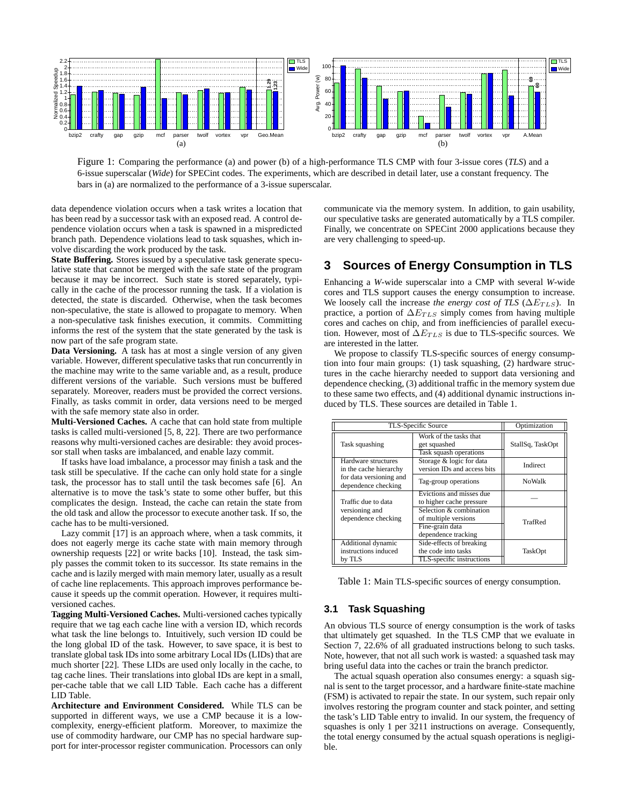

Figure 1: Comparing the performance (a) and power (b) of a high-performance TLS CMP with four 3-issue cores (*TLS*) and a 6-issue superscalar (*Wide*) for SPECint codes. The experiments, which are described in detail later, use a constant frequency. The bars in (a) are normalized to the performance of a 3-issue superscalar.

data dependence violation occurs when a task writes a location that has been read by a successor task with an exposed read. A control dependence violation occurs when a task is spawned in a mispredicted branch path. Dependence violations lead to task squashes, which involve discarding the work produced by the task.

**State Buffering.** Stores issued by a speculative task generate speculative state that cannot be merged with the safe state of the program because it may be incorrect. Such state is stored separately, typically in the cache of the processor running the task. If a violation is detected, the state is discarded. Otherwise, when the task becomes non-speculative, the state is allowed to propagate to memory. When a non-speculative task finishes execution, it commits. Committing informs the rest of the system that the state generated by the task is now part of the safe program state.

**Data Versioning.** A task has at most a single version of any given variable. However, different speculative tasks that run concurrently in the machine may write to the same variable and, as a result, produce different versions of the variable. Such versions must be buffered separately. Moreover, readers must be provided the correct versions. Finally, as tasks commit in order, data versions need to be merged with the safe memory state also in order.

**Multi-Versioned Caches.** A cache that can hold state from multiple tasks is called multi-versioned [5, 8, 22]. There are two performance reasons why multi-versioned caches are desirable: they avoid processor stall when tasks are imbalanced, and enable lazy commit.

If tasks have load imbalance, a processor may finish a task and the task still be speculative. If the cache can only hold state for a single task, the processor has to stall until the task becomes safe [6]. An alternative is to move the task's state to some other buffer, but this complicates the design. Instead, the cache can retain the state from the old task and allow the processor to execute another task. If so, the cache has to be multi-versioned.

Lazy commit [17] is an approach where, when a task commits, it does not eagerly merge its cache state with main memory through ownership requests [22] or write backs [10]. Instead, the task simply passes the commit token to its successor. Its state remains in the cache and is lazily merged with main memory later, usually as a result of cache line replacements. This approach improves performance because it speeds up the commit operation. However, it requires multiversioned caches.

**Tagging Multi-Versioned Caches.** Multi-versioned caches typically require that we tag each cache line with a version ID, which records what task the line belongs to. Intuitively, such version ID could be the long global ID of the task. However, to save space, it is best to translate global task IDs into some arbitrary Local IDs (LIDs) that are much shorter [22]. These LIDs are used only locally in the cache, to tag cache lines. Their translations into global IDs are kept in a small, per-cache table that we call LID Table. Each cache has a different LID Table.

**Architecture and Environment Considered.** While TLS can be supported in different ways, we use a CMP because it is a lowcomplexity, energy-efficient platform. Moreover, to maximize the use of commodity hardware, our CMP has no special hardware support for inter-processor register communication. Processors can only communicate via the memory system. In addition, to gain usability, our speculative tasks are generated automatically by a TLS compiler. Finally, we concentrate on SPECint 2000 applications because they are very challenging to speed-up.

# **3 Sources of Energy Consumption in TLS**

Enhancing a *W*-wide superscalar into a CMP with several *W*-wide cores and TLS support causes the energy consumption to increase. We loosely call the increase *the energy cost of TLS* ( $\Delta E_{TLS}$ ). In practice, a portion of  $\Delta E_{TLS}$  simply comes from having multiple cores and caches on chip, and from inefficiencies of parallel execution. However, most of  $\Delta E_{TLS}$  is due to TLS-specific sources. We are interested in the latter.

We propose to classify TLS-specific sources of energy consumption into four main groups: (1) task squashing, (2) hardware structures in the cache hierarchy needed to support data versioning and dependence checking, (3) additional traffic in the memory system due to these same two effects, and (4) additional dynamic instructions induced by TLS. These sources are detailed in Table 1.

| TLS-Specific Source                                  | Optimization                                                                              |                  |  |
|------------------------------------------------------|-------------------------------------------------------------------------------------------|------------------|--|
| Task squashing                                       | Work of the tasks that<br>get squashed<br>Task squash operations                          | StallSq, TaskOpt |  |
| Hardware structures<br>in the cache hierarchy        | Storage & logic for data<br>version IDs and access bits                                   | Indirect         |  |
| for data versioning and<br>dependence checking       | Tag-group operations                                                                      | <b>NoWalk</b>    |  |
| Traffic due to data                                  | Evictions and misses due<br>to higher cache pressure                                      |                  |  |
| versioning and<br>dependence checking                | Selection & combination<br>of multiple versions<br>Fine-grain data<br>dependence tracking | TrafRed          |  |
| Additional dynamic<br>instructions induced<br>by TLS | Side-effects of breaking<br>the code into tasks<br>TLS-specific instructions              | TaskOpt          |  |

Table 1: Main TLS-specific sources of energy consumption.

# **3.1 Task Squashing**

An obvious TLS source of energy consumption is the work of tasks that ultimately get squashed. In the TLS CMP that we evaluate in Section 7, 22.6% of all graduated instructions belong to such tasks. Note, however, that not all such work is wasted: a squashed task may bring useful data into the caches or train the branch predictor.

The actual squash operation also consumes energy: a squash signal is sent to the target processor, and a hardware finite-state machine (FSM) is activated to repair the state. In our system, such repair only involves restoring the program counter and stack pointer, and setting the task's LID Table entry to invalid. In our system, the frequency of squashes is only 1 per 3211 instructions on average. Consequently, the total energy consumed by the actual squash operations is negligible.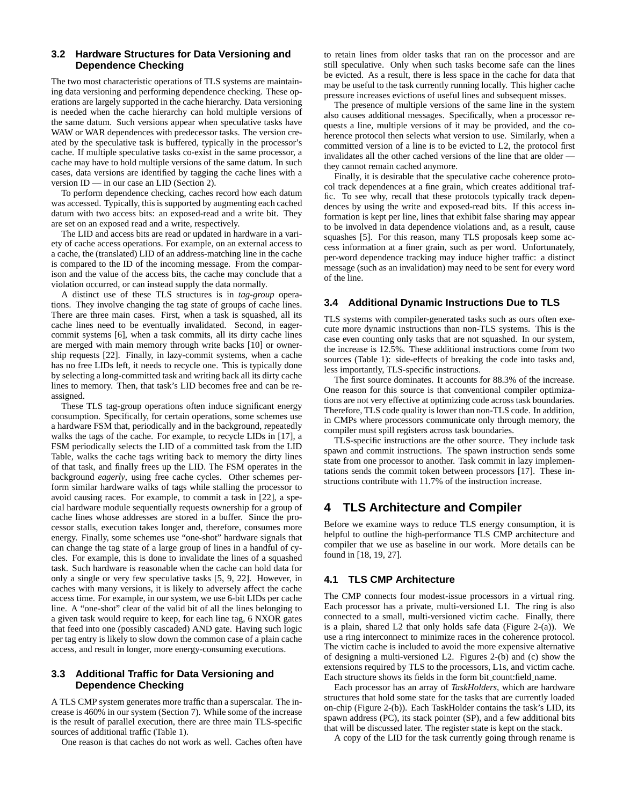#### **3.2 Hardware Structures for Data Versioning and Dependence Checking**

The two most characteristic operations of TLS systems are maintaining data versioning and performing dependence checking. These operations are largely supported in the cache hierarchy. Data versioning is needed when the cache hierarchy can hold multiple versions of the same datum. Such versions appear when speculative tasks have WAW or WAR dependences with predecessor tasks. The version created by the speculative task is buffered, typically in the processor's cache. If multiple speculative tasks co-exist in the same processor, a cache may have to hold multiple versions of the same datum. In such cases, data versions are identified by tagging the cache lines with a version ID — in our case an LID (Section 2).

To perform dependence checking, caches record how each datum was accessed. Typically, this is supported by augmenting each cached datum with two access bits: an exposed-read and a write bit. They are set on an exposed read and a write, respectively.

The LID and access bits are read or updated in hardware in a variety of cache access operations. For example, on an external access to a cache, the (translated) LID of an address-matching line in the cache is compared to the ID of the incoming message. From the comparison and the value of the access bits, the cache may conclude that a violation occurred, or can instead supply the data normally.

A distinct use of these TLS structures is in *tag-group* operations. They involve changing the tag state of groups of cache lines. There are three main cases. First, when a task is squashed, all its cache lines need to be eventually invalidated. Second, in eagercommit systems [6], when a task commits, all its dirty cache lines are merged with main memory through write backs [10] or ownership requests [22]. Finally, in lazy-commit systems, when a cache has no free LIDs left, it needs to recycle one. This is typically done by selecting a long-committed task and writing back all its dirty cache lines to memory. Then, that task's LID becomes free and can be reassigned.

These TLS tag-group operations often induce significant energy consumption. Specifically, for certain operations, some schemes use a hardware FSM that, periodically and in the background, repeatedly walks the tags of the cache. For example, to recycle LIDs in [17], a FSM periodically selects the LID of a committed task from the LID Table, walks the cache tags writing back to memory the dirty lines of that task, and finally frees up the LID. The FSM operates in the background *eagerly*, using free cache cycles. Other schemes perform similar hardware walks of tags while stalling the processor to avoid causing races. For example, to commit a task in [22], a special hardware module sequentially requests ownership for a group of cache lines whose addresses are stored in a buffer. Since the processor stalls, execution takes longer and, therefore, consumes more energy. Finally, some schemes use "one-shot" hardware signals that can change the tag state of a large group of lines in a handful of cycles. For example, this is done to invalidate the lines of a squashed task. Such hardware is reasonable when the cache can hold data for only a single or very few speculative tasks [5, 9, 22]. However, in caches with many versions, it is likely to adversely affect the cache access time. For example, in our system, we use 6-bit LIDs per cache line. A "one-shot" clear of the valid bit of all the lines belonging to a given task would require to keep, for each line tag, 6 NXOR gates that feed into one (possibly cascaded) AND gate. Having such logic per tag entry is likely to slow down the common case of a plain cache access, and result in longer, more energy-consuming executions.

### **3.3 Additional Traffic for Data Versioning and Dependence Checking**

A TLS CMP system generates more traffic than a superscalar. The increase is 460% in our system (Section 7). While some of the increase is the result of parallel execution, there are three main TLS-specific sources of additional traffic (Table 1).

One reason is that caches do not work as well. Caches often have

to retain lines from older tasks that ran on the processor and are still speculative. Only when such tasks become safe can the lines be evicted. As a result, there is less space in the cache for data that may be useful to the task currently running locally. This higher cache pressure increases evictions of useful lines and subsequent misses.

The presence of multiple versions of the same line in the system also causes additional messages. Specifically, when a processor requests a line, multiple versions of it may be provided, and the coherence protocol then selects what version to use. Similarly, when a committed version of a line is to be evicted to L2, the protocol first invalidates all the other cached versions of the line that are older they cannot remain cached anymore.

Finally, it is desirable that the speculative cache coherence protocol track dependences at a fine grain, which creates additional traffic. To see why, recall that these protocols typically track dependences by using the write and exposed-read bits. If this access information is kept per line, lines that exhibit false sharing may appear to be involved in data dependence violations and, as a result, cause squashes [5]. For this reason, many TLS proposals keep some access information at a finer grain, such as per word. Unfortunately, per-word dependence tracking may induce higher traffic: a distinct message (such as an invalidation) may need to be sent for every word of the line.

### **3.4 Additional Dynamic Instructions Due to TLS**

TLS systems with compiler-generated tasks such as ours often execute more dynamic instructions than non-TLS systems. This is the case even counting only tasks that are not squashed. In our system, the increase is 12.5%. These additional instructions come from two sources (Table 1): side-effects of breaking the code into tasks and, less importantly, TLS-specific instructions.

The first source dominates. It accounts for 88.3% of the increase. One reason for this source is that conventional compiler optimizations are not very effective at optimizing code across task boundaries. Therefore, TLS code quality is lower than non-TLS code. In addition, in CMPs where processors communicate only through memory, the compiler must spill registers across task boundaries.

TLS-specific instructions are the other source. They include task spawn and commit instructions. The spawn instruction sends some state from one processor to another. Task commit in lazy implementations sends the commit token between processors [17]. These instructions contribute with 11.7% of the instruction increase.

# **4 TLS Architecture and Compiler**

Before we examine ways to reduce TLS energy consumption, it is helpful to outline the high-performance TLS CMP architecture and compiler that we use as baseline in our work. More details can be found in [18, 19, 27].

### **4.1 TLS CMP Architecture**

The CMP connects four modest-issue processors in a virtual ring. Each processor has a private, multi-versioned L1. The ring is also connected to a small, multi-versioned victim cache. Finally, there is a plain, shared L2 that only holds safe data (Figure 2-(a)). We use a ring interconnect to minimize races in the coherence protocol. The victim cache is included to avoid the more expensive alternative of designing a multi-versioned L2. Figures 2-(b) and (c) show the extensions required by TLS to the processors, L1s, and victim cache. Each structure shows its fields in the form bit count:field name.

Each processor has an array of *TaskHolders*, which are hardware structures that hold some state for the tasks that are currently loaded on-chip (Figure 2-(b)). Each TaskHolder contains the task's LID, its spawn address (PC), its stack pointer (SP), and a few additional bits that will be discussed later. The register state is kept on the stack.

A copy of the LID for the task currently going through rename is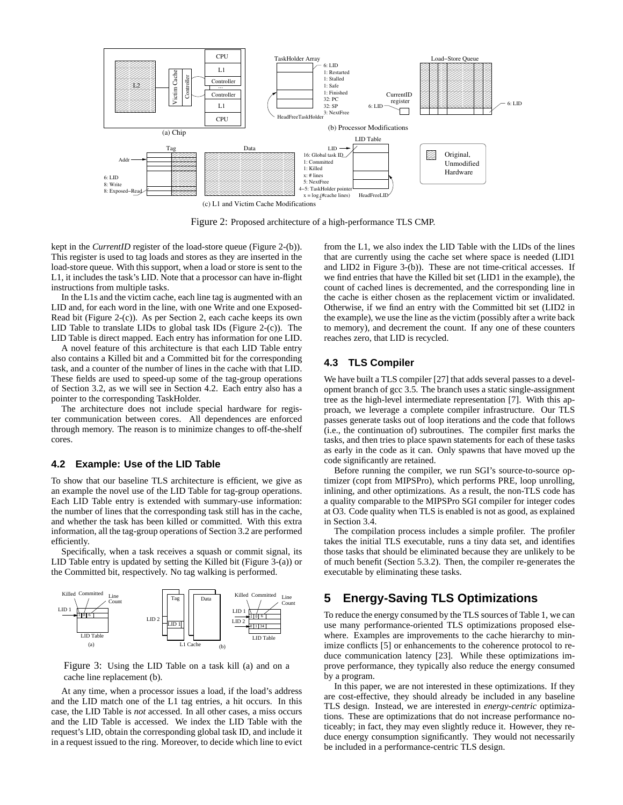

(c) L1 and Victim Cache Modifications

Figure 2: Proposed architecture of a high-performance TLS CMP.

kept in the *CurrentID* register of the load-store queue (Figure 2-(b)). This register is used to tag loads and stores as they are inserted in the load-store queue. With this support, when a load or store is sent to the L1, it includes the task's LID. Note that a processor can have in-flight instructions from multiple tasks.

In the L1s and the victim cache, each line tag is augmented with an LID and, for each word in the line, with one Write and one Exposed-Read bit (Figure 2-(c)). As per Section 2, each cache keeps its own LID Table to translate LIDs to global task IDs (Figure 2-(c)). The LID Table is direct mapped. Each entry has information for one LID.

A novel feature of this architecture is that each LID Table entry also contains a Killed bit and a Committed bit for the corresponding task, and a counter of the number of lines in the cache with that LID. These fields are used to speed-up some of the tag-group operations of Section 3.2, as we will see in Section 4.2. Each entry also has a pointer to the corresponding TaskHolder.

The architecture does not include special hardware for register communication between cores. All dependences are enforced through memory. The reason is to minimize changes to off-the-shelf cores.

## **4.2 Example: Use of the LID Table**

To show that our baseline TLS architecture is efficient, we give as an example the novel use of the LID Table for tag-group operations. Each LID Table entry is extended with summary-use information: the number of lines that the corresponding task still has in the cache, and whether the task has been killed or committed. With this extra information, all the tag-group operations of Section 3.2 are performed efficiently.

Specifically, when a task receives a squash or commit signal, its LID Table entry is updated by setting the Killed bit (Figure 3-(a)) or the Committed bit, respectively. No tag walking is performed.



Figure 3: Using the LID Table on a task kill (a) and on a cache line replacement (b).

At any time, when a processor issues a load, if the load's address and the LID match one of the L1 tag entries, a hit occurs. In this case, the LID Table is *not* accessed. In all other cases, a miss occurs and the LID Table is accessed. We index the LID Table with the request's LID, obtain the corresponding global task ID, and include it in a request issued to the ring. Moreover, to decide which line to evict from the L1, we also index the LID Table with the LIDs of the lines that are currently using the cache set where space is needed (LID1 and LID2 in Figure 3-(b)). These are not time-critical accesses. If we find entries that have the Killed bit set (LID1 in the example), the count of cached lines is decremented, and the corresponding line in the cache is either chosen as the replacement victim or invalidated. Otherwise, if we find an entry with the Committed bit set (LID2 in the example), we use the line as the victim (possibly after a write back to memory), and decrement the count. If any one of these counters reaches zero, that LID is recycled.

# **4.3 TLS Compiler**

We have built a TLS compiler [27] that adds several passes to a development branch of gcc 3.5. The branch uses a static single-assignment tree as the high-level intermediate representation [7]. With this approach, we leverage a complete compiler infrastructure. Our TLS passes generate tasks out of loop iterations and the code that follows (i.e., the continuation of) subroutines. The compiler first marks the tasks, and then tries to place spawn statements for each of these tasks as early in the code as it can. Only spawns that have moved up the code significantly are retained.

Before running the compiler, we run SGI's source-to-source optimizer (copt from MIPSPro), which performs PRE, loop unrolling, inlining, and other optimizations. As a result, the non-TLS code has a quality comparable to the MIPSPro SGI compiler for integer codes at O3. Code quality when TLS is enabled is not as good, as explained in Section 3.4.

The compilation process includes a simple profiler. The profiler takes the initial TLS executable, runs a tiny data set, and identifies those tasks that should be eliminated because they are unlikely to be of much benefit (Section 5.3.2). Then, the compiler re-generates the executable by eliminating these tasks.

# **5 Energy-Saving TLS Optimizations**

To reduce the energy consumed by the TLS sources of Table 1, we can use many performance-oriented TLS optimizations proposed elsewhere. Examples are improvements to the cache hierarchy to minimize conflicts [5] or enhancements to the coherence protocol to reduce communication latency [23]. While these optimizations improve performance, they typically also reduce the energy consumed by a program.

In this paper, we are not interested in these optimizations. If they are cost-effective, they should already be included in any baseline TLS design. Instead, we are interested in *energy-centric* optimizations. These are optimizations that do not increase performance noticeably; in fact, they may even slightly reduce it. However, they reduce energy consumption significantly. They would not necessarily be included in a performance-centric TLS design.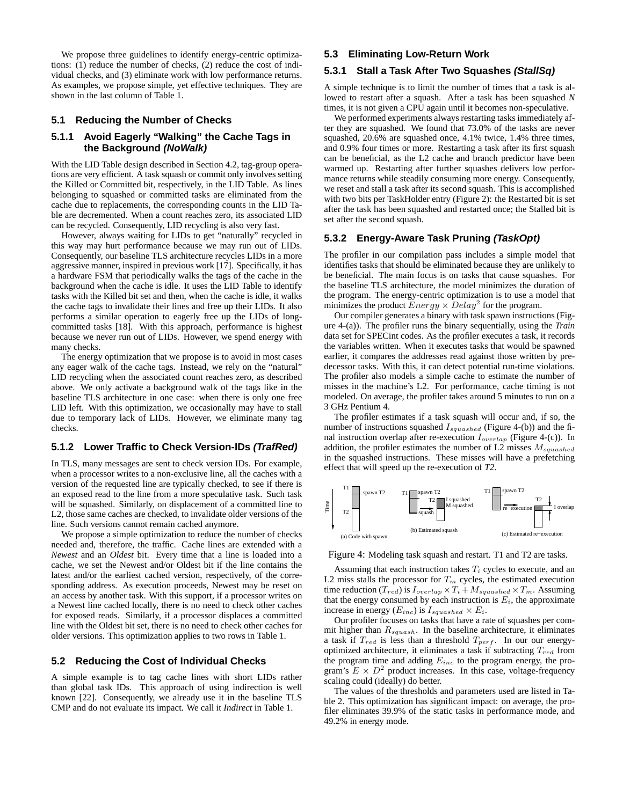We propose three guidelines to identify energy-centric optimizations: (1) reduce the number of checks, (2) reduce the cost of individual checks, and (3) eliminate work with low performance returns. As examples, we propose simple, yet effective techniques. They are shown in the last column of Table 1.

#### **5.1 Reducing the Number of Checks**

### **5.1.1 Avoid Eagerly "Walking" the Cache Tags in the Background (NoWalk)**

With the LID Table design described in Section 4.2, tag-group operations are very efficient. A task squash or commit only involves setting the Killed or Committed bit, respectively, in the LID Table. As lines belonging to squashed or committed tasks are eliminated from the cache due to replacements, the corresponding counts in the LID Table are decremented. When a count reaches zero, its associated LID can be recycled. Consequently, LID recycling is also very fast.

However, always waiting for LIDs to get "naturally" recycled in this way may hurt performance because we may run out of LIDs. Consequently, our baseline TLS architecture recycles LIDs in a more aggressive manner, inspired in previous work [17]. Specifically, it has a hardware FSM that periodically walks the tags of the cache in the background when the cache is idle. It uses the LID Table to identify tasks with the Killed bit set and then, when the cache is idle, it walks the cache tags to invalidate their lines and free up their LIDs. It also performs a similar operation to eagerly free up the LIDs of longcommitted tasks [18]. With this approach, performance is highest because we never run out of LIDs. However, we spend energy with many checks.

The energy optimization that we propose is to avoid in most cases any eager walk of the cache tags. Instead, we rely on the "natural" LID recycling when the associated count reaches zero, as described above. We only activate a background walk of the tags like in the baseline TLS architecture in one case: when there is only one free LID left. With this optimization, we occasionally may have to stall due to temporary lack of LIDs. However, we eliminate many tag checks.

### **5.1.2 Lower Traffic to Check Version-IDs (TrafRed)**

In TLS, many messages are sent to check version IDs. For example, when a processor writes to a non-exclusive line, all the caches with a version of the requested line are typically checked, to see if there is an exposed read to the line from a more speculative task. Such task will be squashed. Similarly, on displacement of a committed line to L2, those same caches are checked, to invalidate older versions of the line. Such versions cannot remain cached anymore.

We propose a simple optimization to reduce the number of checks needed and, therefore, the traffic. Cache lines are extended with a *Newest* and an *Oldest* bit. Every time that a line is loaded into a cache, we set the Newest and/or Oldest bit if the line contains the latest and/or the earliest cached version, respectively, of the corresponding address. As execution proceeds, Newest may be reset on an access by another task. With this support, if a processor writes on a Newest line cached locally, there is no need to check other caches for exposed reads. Similarly, if a processor displaces a committed line with the Oldest bit set, there is no need to check other caches for older versions. This optimization applies to two rows in Table 1.

#### **5.2 Reducing the Cost of Individual Checks**

A simple example is to tag cache lines with short LIDs rather than global task IDs. This approach of using indirection is well known [22]. Consequently, we already use it in the baseline TLS CMP and do not evaluate its impact. We call it *Indirect* in Table 1.

### **5.3 Eliminating Low-Return Work**

#### **5.3.1 Stall a Task After Two Squashes (StallSq)**

A simple technique is to limit the number of times that a task is allowed to restart after a squash. After a task has been squashed *N* times, it is not given a CPU again until it becomes non-speculative.

We performed experiments always restarting tasks immediately after they are squashed. We found that 73.0% of the tasks are never squashed, 20.6% are squashed once, 4.1% twice, 1.4% three times, and 0.9% four times or more. Restarting a task after its first squash can be beneficial, as the L2 cache and branch predictor have been warmed up. Restarting after further squashes delivers low performance returns while steadily consuming more energy. Consequently, we reset and stall a task after its second squash. This is accomplished with two bits per TaskHolder entry (Figure 2): the Restarted bit is set after the task has been squashed and restarted once; the Stalled bit is set after the second squash.

#### **5.3.2 Energy-Aware Task Pruning (TaskOpt)**

The profiler in our compilation pass includes a simple model that identifies tasks that should be eliminated because they are unlikely to be beneficial. The main focus is on tasks that cause squashes. For the baseline TLS architecture, the model minimizes the duration of the program. The energy-centric optimization is to use a model that minimizes the product  $Energy \times Delay^2$  for the program.

Our compiler generates a binary with task spawn instructions (Figure 4-(a)). The profiler runs the binary sequentially, using the *Train* data set for SPECint codes. As the profiler executes a task, it records the variables written. When it executes tasks that would be spawned earlier, it compares the addresses read against those written by predecessor tasks. With this, it can detect potential run-time violations. The profiler also models a simple cache to estimate the number of misses in the machine's L2. For performance, cache timing is not modeled. On average, the profiler takes around 5 minutes to run on a 3 GHz Pentium 4.

The profiler estimates if a task squash will occur and, if so, the number of instructions squashed  $I_{squashed}$  (Figure 4-(b)) and the final instruction overlap after re-execution  $I_{overlap}$  (Figure 4-(c)). In addition, the profiler estimates the number of L2 misses  $M_{squashed}$ in the squashed instructions. These misses will have a prefetching effect that will speed up the re-execution of *T2*.



Figure 4: Modeling task squash and restart. T1 and T2 are tasks.

Assuming that each instruction takes  $T_i$  cycles to execute, and an L2 miss stalls the processor for  $T_m$  cycles, the estimated execution time reduction  $(T_{red})$  is  $I_{overlap} \times T_i + M_{squashed} \times T_m$ . Assuming that the energy consumed by each instruction is  $E_i$ , the approximate increase in energy  $(E_{inc})$  is  $I_{squashed} \times E_i$ .

Our profiler focuses on tasks that have a rate of squashes per commit higher than  $R_{squash}$ . In the baseline architecture, it eliminates a task if  $T_{red}$  is less than a threshold  $T_{perf}$ . In our our energyoptimized architecture, it eliminates a task if subtracting  $T_{red}$  from the program time and adding  $E_{inc}$  to the program energy, the program's  $E \times D^2$  product increases. In this case, voltage-frequency scaling could (ideally) do better.

The values of the thresholds and parameters used are listed in Table 2. This optimization has significant impact: on average, the profiler eliminates 39.9% of the static tasks in performance mode, and 49.2% in energy mode.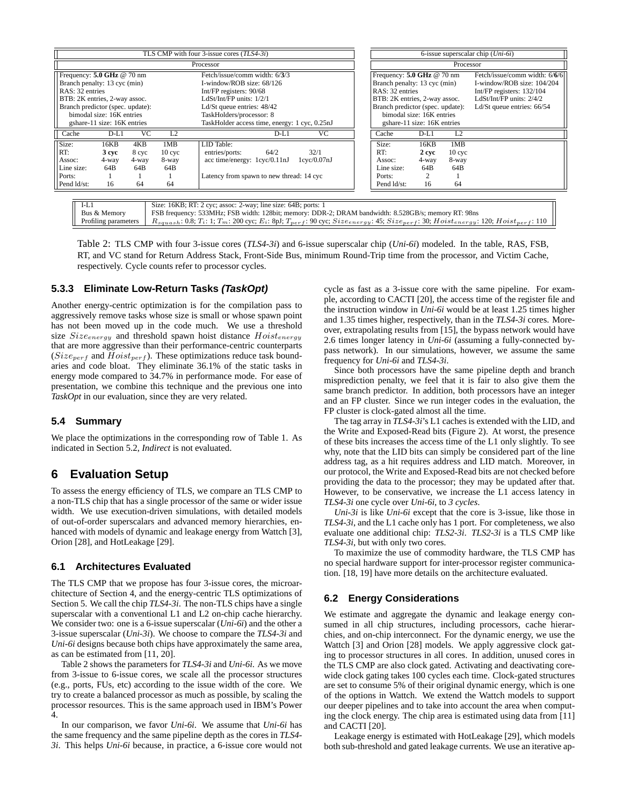|                                                                                                                                                                                                                  |                                                | TLS CMP with four 3-issue cores $(TLS4-3i)$                                                                                                                                                                                    |                            | 6-issue superscalar chip $(Uni-6i)$ |                                                                                                                                                                                                                  |                                     |                                                |                                                                                                                                                      |
|------------------------------------------------------------------------------------------------------------------------------------------------------------------------------------------------------------------|------------------------------------------------|--------------------------------------------------------------------------------------------------------------------------------------------------------------------------------------------------------------------------------|----------------------------|-------------------------------------|------------------------------------------------------------------------------------------------------------------------------------------------------------------------------------------------------------------|-------------------------------------|------------------------------------------------|------------------------------------------------------------------------------------------------------------------------------------------------------|
|                                                                                                                                                                                                                  |                                                | Processor                                                                                                                                                                                                                      |                            | Processor                           |                                                                                                                                                                                                                  |                                     |                                                |                                                                                                                                                      |
| Frequency: $5.0$ GHz @ 70 nm<br>Branch penalty: 13 cyc (min)<br>RAS: 32 entries<br>BTB: 2K entries, 2-way assoc.<br>Branch predictor (spec. update):<br>bimodal size: 16K entries<br>gshare-11 size: 16K entries |                                                | Fetch/issue/comm width: 6/3/3<br>I-window/ROB size: 68/126<br>Int/FP registers: 90/68<br>LdSt/Int/FP units: 1/2/1<br>Ld/St queue entries: $48/42$<br>TaskHolders/processor: 8<br>TaskHolder access time, energy: 1 cyc, 0.25nJ |                            |                                     | Frequency: $5.0$ GHz @ 70 nm<br>Branch penalty: 13 cyc (min)<br>RAS: 32 entries<br>BTB: 2K entries, 2-way assoc.<br>Branch predictor (spec. update):<br>bimodal size: 16K entries<br>gshare-11 size: 16K entries |                                     |                                                | Fetch/issue/comm width: 6/6/6<br>I-window/ROB size: 104/204<br>Int/FP registers: 132/104<br>LdSt/Int/FP units: $2/4/2$<br>Ld/St queue entries: 66/54 |
| VC<br>Cache<br>$D-L1$                                                                                                                                                                                            | L2                                             | $D-L1$                                                                                                                                                                                                                         | <b>VC</b>                  |                                     | Cache                                                                                                                                                                                                            | $D-L1$                              | L2                                             |                                                                                                                                                      |
| Size:<br>4KB<br>16KB<br>RT:<br>3 cvc<br>8 cyc<br>4-way<br>4-way<br>Assoc:<br>Line size:<br>64B<br>64B<br>Ports:<br>Pend ld/st:<br>16<br>64                                                                       | 1MB<br>10 <sub>cvc</sub><br>8-way<br>64B<br>64 | LID Table:<br>64/2<br>entries/ports:<br>acc time/energy: $1$ cyc/0.11nJ<br>Latency from spawn to new thread: 14 cyc                                                                                                            | 32/1<br>$1$ cyc $/0.07$ nJ |                                     | Size:<br>RT:<br>Assoc:<br>Line size:<br>Ports:<br>Pend ld/st:                                                                                                                                                    | 16KB<br>2 cvc<br>4-way<br>64B<br>16 | 1MB<br>10 <sub>cvc</sub><br>8-way<br>64B<br>64 |                                                                                                                                                      |
| $\overline{1}$ $\overline{1}$ $\overline{1}$ $\overline{1}$                                                                                                                                                      |                                                |                                                                                                                                                                                                                                |                            |                                     |                                                                                                                                                                                                                  |                                     |                                                |                                                                                                                                                      |

| $I-L1$               | Size: 16KB; RT: 2 cyc; assoc: 2-way; line size: 64B; ports: 1                                                                                                                 |
|----------------------|-------------------------------------------------------------------------------------------------------------------------------------------------------------------------------|
| Bus & Memory         | FSB frequency: 533MHz; FSB width: 128bit; memory: DDR-2; DRAM bandwidth: 8.528GB/s; memory RT; 98ns                                                                           |
| Profiling parameters | $R_{squash}$ : 0.8; $T_i$ : 1; $T_m$ : 200 cyc; $E_i$ : 8pJ; $T_{vert}$ : 90 cyc; $Size_{energy}$ : 45; $Size_{perfect}$ : 30; $Hoiset_{energy}$ : 120; $Hoiset_{perf}$ : 110 |
|                      |                                                                                                                                                                               |

Table 2: TLS CMP with four 3-issue cores (*TLS4-3i*) and 6-issue superscalar chip (*Uni-6i*) modeled. In the table, RAS, FSB, RT, and VC stand for Return Address Stack, Front-Side Bus, minimum Round-Trip time from the processor, and Victim Cache, respectively. Cycle counts refer to processor cycles.

### **5.3.3 Eliminate Low-Return Tasks (TaskOpt)**

Another energy-centric optimization is for the compilation pass to aggressively remove tasks whose size is small or whose spawn point has not been moved up in the code much. We use a threshold size  $Size_{energy}$  and threshold spawn hoist distance  $Hoist_{energy}$ that are more aggressive than their performance-centric counterparts  $(Size_{perf}$  and  $Hoist_{perf}$ ). These optimizations reduce task boundaries and code bloat. They eliminate 36.1% of the static tasks in energy mode compared to 34.7% in performance mode. For ease of presentation, we combine this technique and the previous one into *TaskOpt* in our evaluation, since they are very related.

#### **5.4 Summary**

We place the optimizations in the corresponding row of Table 1. As indicated in Section 5.2, *Indirect* is not evaluated.

# **6 Evaluation Setup**

To assess the energy efficiency of TLS, we compare an TLS CMP to a non-TLS chip that has a single processor of the same or wider issue width. We use execution-driven simulations, with detailed models of out-of-order superscalars and advanced memory hierarchies, enhanced with models of dynamic and leakage energy from Wattch [3], Orion [28], and HotLeakage [29].

#### **6.1 Architectures Evaluated**

The TLS CMP that we propose has four 3-issue cores, the microarchitecture of Section 4, and the energy-centric TLS optimizations of Section 5. We call the chip *TLS4-3i*. The non-TLS chips have a single superscalar with a conventional L1 and L2 on-chip cache hierarchy. We consider two: one is a 6-issue superscalar (*Uni-6i*) and the other a 3-issue superscalar (*Uni-3i*). We choose to compare the *TLS4-3i* and *Uni-6i* designs because both chips have approximately the same area, as can be estimated from [11, 20].

Table 2 shows the parameters for *TLS4-3i* and *Uni-6i*. As we move from 3-issue to 6-issue cores, we scale all the processor structures (e.g., ports, FUs, etc) according to the issue width of the core. We try to create a balanced processor as much as possible, by scaling the processor resources. This is the same approach used in IBM's Power 4.

In our comparison, we favor *Uni-6i*. We assume that *Uni-6i* has the same frequency and the same pipeline depth as the cores in *TLS4- 3i*. This helps *Uni-6i* because, in practice, a 6-issue core would not cycle as fast as a 3-issue core with the same pipeline. For example, according to CACTI [20], the access time of the register file and the instruction window in *Uni-6i* would be at least 1.25 times higher and 1.35 times higher, respectively, than in the *TLS4-3i* cores. Moreover, extrapolating results from [15], the bypass network would have 2.6 times longer latency in *Uni-6i* (assuming a fully-connected bypass network). In our simulations, however, we assume the same frequency for *Uni-6i* and *TLS4-3i*.

Since both processors have the same pipeline depth and branch misprediction penalty, we feel that it is fair to also give them the same branch predictor. In addition, both processors have an integer and an FP cluster. Since we run integer codes in the evaluation, the FP cluster is clock-gated almost all the time.

The tag array in *TLS4-3i*'s L1 caches is extended with the LID, and the Write and Exposed-Read bits (Figure 2). At worst, the presence of these bits increases the access time of the L1 only slightly. To see why, note that the LID bits can simply be considered part of the line address tag, as a hit requires address and LID match. Moreover, in our protocol, the Write and Exposed-Read bits are not checked before providing the data to the processor; they may be updated after that. However, to be conservative, we increase the L1 access latency in *TLS4-3i* one cycle over *Uni-6i*, to *3 cycles*.

*Uni-3i* is like *Uni-6i* except that the core is 3-issue, like those in *TLS4-3i*, and the L1 cache only has 1 port. For completeness, we also evaluate one additional chip: *TLS2-3i*. *TLS2-3i* is a TLS CMP like *TLS4-3i*, but with only two cores.

To maximize the use of commodity hardware, the TLS CMP has no special hardware support for inter-processor register communication. [18, 19] have more details on the architecture evaluated.

### **6.2 Energy Considerations**

We estimate and aggregate the dynamic and leakage energy consumed in all chip structures, including processors, cache hierarchies, and on-chip interconnect. For the dynamic energy, we use the Wattch [3] and Orion [28] models. We apply aggressive clock gating to processor structures in all cores. In addition, unused cores in the TLS CMP are also clock gated. Activating and deactivating corewide clock gating takes 100 cycles each time. Clock-gated structures are set to consume 5% of their original dynamic energy, which is one of the options in Wattch. We extend the Wattch models to support our deeper pipelines and to take into account the area when computing the clock energy. The chip area is estimated using data from [11] and CACTI [20].

Leakage energy is estimated with HotLeakage [29], which models both sub-threshold and gated leakage currents. We use an iterative ap-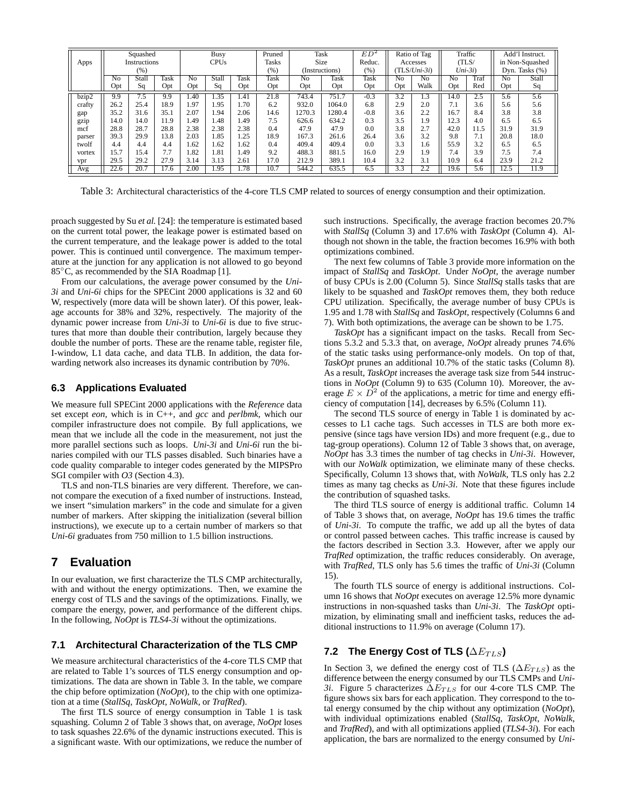| Squashed<br>Instructions<br>Apps<br>(%) |      | <b>Busy</b><br><b>CPUs</b> |             | Pruned<br><b>Tasks</b><br>(%) | Task<br>Size<br>(Instructions) |      | ED <sup>2</sup><br>Reduc.<br>(%) | Ratio of Tag<br>Accesses<br>$(TLS/Uni-3i)$ |        | Traffic<br>(TLS)<br>$Uni-3i)$ |                  | Add'l Instruct.<br>in Non-Squashed<br>Dyn. Tasks (%) |      |      |      |       |
|-----------------------------------------|------|----------------------------|-------------|-------------------------------|--------------------------------|------|----------------------------------|--------------------------------------------|--------|-------------------------------|------------------|------------------------------------------------------|------|------|------|-------|
|                                         | No   | Stall                      | <b>Task</b> | No                            | Stall                          | Task | Task                             | No                                         | Task   | Task                          | N <sub>o</sub>   | No                                                   | No   | Traf | No   | Stall |
|                                         | Opt  | Sq                         | Opt         | Opt                           | Sq                             | Opt  | Opt                              | Opt                                        | Opt    | Opt                           | Opt              | Walk                                                 | Opt  | Red  | Opt  | Sq    |
| bzip2                                   | 9.9  | $7.\overline{5}$           | 9.9         | 1.40                          | 1.35                           | 1.41 | 21.8                             | 743.4                                      | 751.7  | $-0.3$                        | $\overline{3.2}$ | 1.3                                                  | 14.0 | 2.5  | 5.6  | 5.6   |
| crafty                                  | 26.2 | 25.4                       | 18.9        | 1.97                          | 1.95                           | 1.70 | 6.2                              | 932.0                                      | 1064.0 | 6.8                           | 2.9              | 2.0                                                  | 7.1  | 3.6  | 5.6  | 5.6   |
| gap                                     | 35.2 | 31.6                       | 35.1        | 2.07                          | l.94                           | 2.06 | 14.6                             | 1270.3                                     | 1280.4 | $-0.8$                        | 3.6              | 2.2                                                  | 16.7 | 8.4  | 3.8  | 3.8   |
| gzip                                    | 14.0 | 14.0                       | 11.9        | 1.49                          | 1.48                           | 1.49 | 7.5                              | 626.6                                      | 634.2  | 0.3                           | 3.5              | 1.9                                                  | 12.3 | 4.0  | 6.5  | 6.5   |
| mcf                                     | 28.8 | 28.7                       | 28.8        | 2.38                          | 2.38                           | 2.38 | 0.4                              | 47.9                                       | 47.9   | 0.0                           | 3.8              | 2.7                                                  | 42.0 | 11.5 | 31.9 | 31.9  |
| parser                                  | 39.3 | 29.9                       | 13.8        | 2.03                          | 1.85                           | 1.25 | 18.9                             | 167.3                                      | 261.6  | 26.4                          | 3.6              | 3.2                                                  | 9.8  | 7.1  | 20.8 | 18.0  |
| twolf                                   | 4.4  | 4.4                        | 4.4         | 1.62                          | 1.62                           | 1.62 | 0.4                              | 409.4                                      | 409.4  | 0.0                           | 3.3              | 1.6                                                  | 55.9 | 3.2  | 6.5  | 6.5   |
| vortex                                  | 15.7 | l 5.4                      | 7.7         | 1.82                          | 1.81                           | 1.49 | 9.2                              | 488.3                                      | 881.5  | 16.0                          | 2.9              | 1.9                                                  | 7.4  | 3.9  | 7.5  | 7.4   |
| vpr                                     | 29.5 | 29.2                       | 27.9        | 3.14                          | 3.13                           | 2.61 | 17.0                             | 212.9                                      | 389.1  | 10.4                          | 3.2              | 3.1                                                  | 10.9 | 6.4  | 23.9 | 21.2  |
| Avg                                     | 22.6 | 20.7                       | 17.6        | 2.00                          | 1.95                           | 1.78 | 10.7                             | 544.2                                      | 635.5  | 6.5                           | 3.3              | 2.2                                                  | 19.6 | 5.6  | 12.5 | 11.9  |

Table 3: Architectural characteristics of the 4-core TLS CMP related to sources of energy consumption and their optimization.

proach suggested by Su *et al.* [24]: the temperature is estimated based on the current total power, the leakage power is estimated based on the current temperature, and the leakage power is added to the total power. This is continued until convergence. The maximum temperature at the junction for any application is not allowed to go beyond 85<sup>°</sup>C, as recommended by the SIA Roadmap [1].

From our calculations, the average power consumed by the *Uni-3i* and *Uni-6i* chips for the SPECint 2000 applications is 32 and 60 W, respectively (more data will be shown later). Of this power, leakage accounts for 38% and 32%, respectively. The majority of the dynamic power increase from *Uni-3i* to *Uni-6i* is due to five structures that more than double their contribution, largely because they double the number of ports. These are the rename table, register file, I-window, L1 data cache, and data TLB. In addition, the data forwarding network also increases its dynamic contribution by 70%.

#### **6.3 Applications Evaluated**

We measure full SPECint 2000 applications with the *Reference* data set except *eon*, which is in C++, and *gcc* and *perlbmk*, which our compiler infrastructure does not compile. By full applications, we mean that we include all the code in the measurement, not just the more parallel sections such as loops. *Uni-3i* and *Uni-6i* run the binaries compiled with our TLS passes disabled. Such binaries have a code quality comparable to integer codes generated by the MIPSPro SGI compiler with *O3* (Section 4.3).

TLS and non-TLS binaries are very different. Therefore, we cannot compare the execution of a fixed number of instructions. Instead, we insert "simulation markers" in the code and simulate for a given number of markers. After skipping the initialization (several billion instructions), we execute up to a certain number of markers so that *Uni-6i* graduates from 750 million to 1.5 billion instructions.

# **7 Evaluation**

In our evaluation, we first characterize the TLS CMP architecturally, with and without the energy optimizations. Then, we examine the energy cost of TLS and the savings of the optimizations. Finally, we compare the energy, power, and performance of the different chips. In the following, *NoOpt* is *TLS4-3i* without the optimizations.

#### **7.1 Architectural Characterization of the TLS CMP**

We measure architectural characteristics of the 4-core TLS CMP that are related to Table 1's sources of TLS energy consumption and optimizations. The data are shown in Table 3. In the table, we compare the chip before optimization (*NoOpt*), to the chip with one optimization at a time (*StallSq*, *TaskOpt*, *NoWalk*, or *TrafRed*).

The first TLS source of energy consumption in Table 1 is task squashing. Column 2 of Table 3 shows that, on average, *NoOpt* loses to task squashes 22.6% of the dynamic instructions executed. This is a significant waste. With our optimizations, we reduce the number of such instructions. Specifically, the average fraction becomes 20.7% with *StallSq* (Column 3) and 17.6% with *TaskOpt* (Column 4). Although not shown in the table, the fraction becomes 16.9% with both optimizations combined.

The next few columns of Table 3 provide more information on the impact of *StallSq* and *TaskOpt*. Under *NoOpt*, the average number of busy CPUs is 2.00 (Column 5). Since *StallSq* stalls tasks that are likely to be squashed and *TaskOpt* removes them, they both reduce CPU utilization. Specifically, the average number of busy CPUs is 1.95 and 1.78 with *StallSq* and *TaskOpt*, respectively (Columns 6 and 7). With both optimizations, the average can be shown to be 1.75.

*TaskOpt* has a significant impact on the tasks. Recall from Sections 5.3.2 and 5.3.3 that, on average, *NoOpt* already prunes 74.6% of the static tasks using performance-only models. On top of that, *TaskOpt* prunes an additional 10.7% of the static tasks (Column 8). As a result, *TaskOpt* increases the average task size from 544 instructions in *NoOpt* (Column 9) to 635 (Column 10). Moreover, the average  $E \times \overline{D}^2$  of the applications, a metric for time and energy efficiency of computation [14], decreases by 6.5% (Column 11).

The second TLS source of energy in Table 1 is dominated by accesses to L1 cache tags. Such accesses in TLS are both more expensive (since tags have version IDs) and more frequent (e.g., due to tag-group operations). Column 12 of Table 3 shows that, on average, *NoOpt* has 3.3 times the number of tag checks in *Uni-3i*. However, with our *NoWalk* optimization, we eliminate many of these checks. Specifically, Column 13 shows that, with *NoWalk*, TLS only has 2.2 times as many tag checks as *Uni-3i*. Note that these figures include the contribution of squashed tasks.

The third TLS source of energy is additional traffic. Column 14 of Table 3 shows that, on average, *NoOpt* has 19.6 times the traffic of *Uni-3i*. To compute the traffic, we add up all the bytes of data or control passed between caches. This traffic increase is caused by the factors described in Section 3.3. However, after we apply our *TrafRed* optimization, the traffic reduces considerably. On average, with *TrafRed*, TLS only has 5.6 times the traffic of *Uni-3i* (Column 15).

The fourth TLS source of energy is additional instructions. Column 16 shows that *NoOpt* executes on average 12.5% more dynamic instructions in non-squashed tasks than *Uni-3i*. The *TaskOpt* optimization, by eliminating small and inefficient tasks, reduces the additional instructions to 11.9% on average (Column 17).

## **7.2** The Energy Cost of TLS ( $\Delta E_{TLS}$ )

In Section 3, we defined the energy cost of TLS ( $\Delta E_{TLS}$ ) as the difference between the energy consumed by our TLS CMPs and *Uni-3i*. Figure 5 characterizes  $\Delta E_{TLS}$  for our 4-core TLS CMP. The figure shows six bars for each application. They correspond to the total energy consumed by the chip without any optimization (*NoOpt*), with individual optimizations enabled (*StallSq*, *TaskOpt*, *NoWalk*, and *TrafRed*), and with all optimizations applied (*TLS4-3i*). For each application, the bars are normalized to the energy consumed by *Uni-*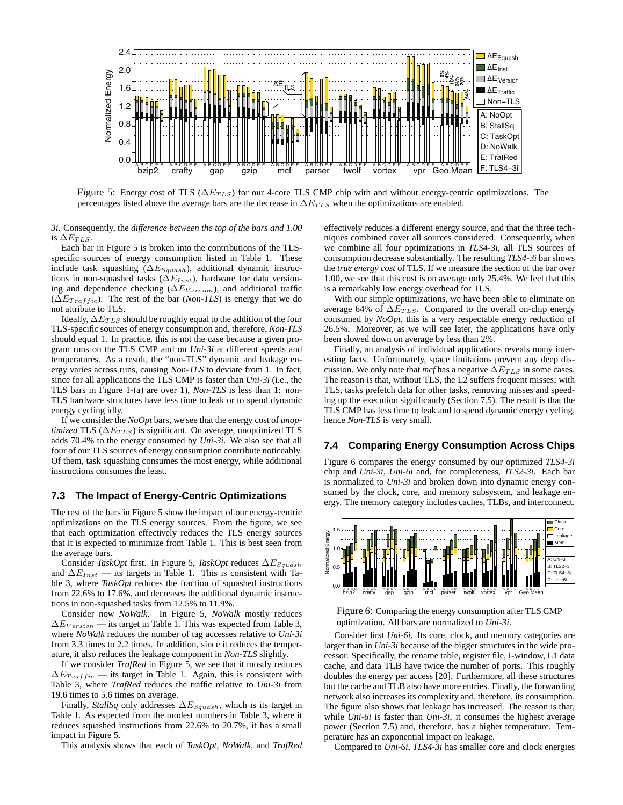

Figure 5: Energy cost of TLS ( $\Delta E_{TLS}$ ) for our 4-core TLS CMP chip with and without energy-centric optimizations. The percentages listed above the average bars are the decrease in  $\Delta E_{TLS}$  when the optimizations are enabled.

*3i*. Consequently, the *difference between the top of the bars and 1.00* is  $\Delta E_{TLS}$ .

Each bar in Figure 5 is broken into the contributions of the TLSspecific sources of energy consumption listed in Table 1. These include task squashing ( $\Delta E_{Squash}$ ), additional dynamic instructions in non-squashed tasks ( $\Delta E_{Inst}$ ), hardware for data versioning and dependence checking ( $\Delta E_{Version}$ ), and additional traffic  $(\Delta E_{Traftic})$ . The rest of the bar (*Non-TLS*) is energy that we do not attribute to TLS.

Ideally,  $\Delta E_{TLS}$  should be roughly equal to the addition of the four TLS-specific sources of energy consumption and, therefore, *Non-TLS* should equal 1. In practice, this is not the case because a given program runs on the TLS CMP and on *Uni-3i* at different speeds and temperatures. As a result, the "non-TLS" dynamic and leakage energy varies across runs, causing *Non-TLS* to deviate from 1. In fact, since for all applications the TLS CMP is faster than *Uni-3i* (i.e., the TLS bars in Figure 1-(a) are over 1), *Non-TLS* is less than 1: non-TLS hardware structures have less time to leak or to spend dynamic energy cycling idly.

If we consider the *NoOpt* bars, we see that the energy cost of *unoptimized* TLS ( $\Delta E_{TLS}$ ) is significant. On average, unoptimized TLS adds 70.4% to the energy consumed by *Uni-3i*. We also see that all four of our TLS sources of energy consumption contribute noticeably. Of them, task squashing consumes the most energy, while additional instructions consumes the least.

#### **7.3 The Impact of Energy-Centric Optimizations**

The rest of the bars in Figure 5 show the impact of our energy-centric optimizations on the TLS energy sources. From the figure, we see that each optimization effectively reduces the TLS energy sources that it is expected to minimize from Table 1. This is best seen from the average bars.

Consider *TaskOpt* first. In Figure 5, *TaskOpt* reduces ∆E<sub>Squash</sub> and  $\Delta E_{Inst}$  — its targets in Table 1. This is consistent with Table 3, where *TaskOpt* reduces the fraction of squashed instructions from 22.6% to 17.6%, and decreases the additional dynamic instructions in non-squashed tasks from 12.5% to 11.9%.

Consider now *NoWalk*. In Figure 5, *NoWalk* mostly reduces  $\Delta E_{Version}$  — its target in Table 1. This was expected from Table 3, where *NoWalk* reduces the number of tag accesses relative to *Uni-3i* from 3.3 times to 2.2 times. In addition, since it reduces the temperature, it also reduces the leakage component in *Non-TLS* slightly.

If we consider *TrafRed* in Figure 5, we see that it mostly reduces  $\Delta E_{Traftic}$  — its target in Table 1. Again, this is consistent with Table 3, where *TrafRed* reduces the traffic relative to *Uni-3i* from 19.6 times to 5.6 times on average.

Finally, *StallSq* only addresses ∆ESquash, which is its target in Table 1. As expected from the modest numbers in Table 3, where it reduces squashed instructions from 22.6% to 20.7%, it has a small impact in Figure 5.

This analysis shows that each of *TaskOpt*, *NoWalk*, and *TrafRed*

effectively reduces a different energy source, and that the three techniques combined cover all sources considered. Consequently, when we combine all four optimizations in *TLS4-3i*, all TLS sources of consumption decrease substantially. The resulting *TLS4-3i* bar shows the *true energy cost* of TLS. If we measure the section of the bar over 1.00, we see that this cost is on average only 25.4%. We feel that this is a remarkably low energy overhead for TLS.

With our simple optimizations, we have been able to eliminate on average 64% of  $\Delta E_{TLS}$ . Compared to the overall on-chip energy consumed by *NoOpt*, this is a very respectable energy reduction of 26.5%. Moreover, as we will see later, the applications have only been slowed down on average by less than 2%.

Finally, an analysis of individual applications reveals many interesting facts. Unfortunately, space limitations prevent any deep discussion. We only note that  $mcf$  has a negative  $\Delta E_{TLS}$  in some cases. The reason is that, without TLS, the L2 suffers frequent misses; with TLS, tasks prefetch data for other tasks, removing misses and speeding up the execution significantly (Section 7.5). The result is that the TLS CMP has less time to leak and to spend dynamic energy cycling, hence *Non-TLS* is very small.

### **7.4 Comparing Energy Consumption Across Chips**

Figure 6 compares the energy consumed by our optimized *TLS4-3i* chip and *Uni-3i*, *Uni-6i* and, for completeness, *TLS2-3i*. Each bar is normalized to *Uni-3i* and broken down into dynamic energy consumed by the clock, core, and memory subsystem, and leakage energy. The memory category includes caches, TLBs, and interconnect.





Consider first *Uni-6i*. Its core, clock, and memory categories are larger than in *Uni-3i* because of the bigger structures in the wide processor. Specifically, the rename table, register file, I-window, L1 data cache, and data TLB have twice the number of ports. This roughly doubles the energy per access [20]. Furthermore, all these structures but the cache and TLB also have more entries. Finally, the forwarding network also increases its complexity and, therefore, its consumption. The figure also shows that leakage has increased. The reason is that, while *Uni-6i* is faster than *Uni-3i*, it consumes the highest average power (Section 7.5) and, therefore, has a higher temperature. Temperature has an exponential impact on leakage.

Compared to *Uni-6i*, *TLS4-3i* has smaller core and clock energies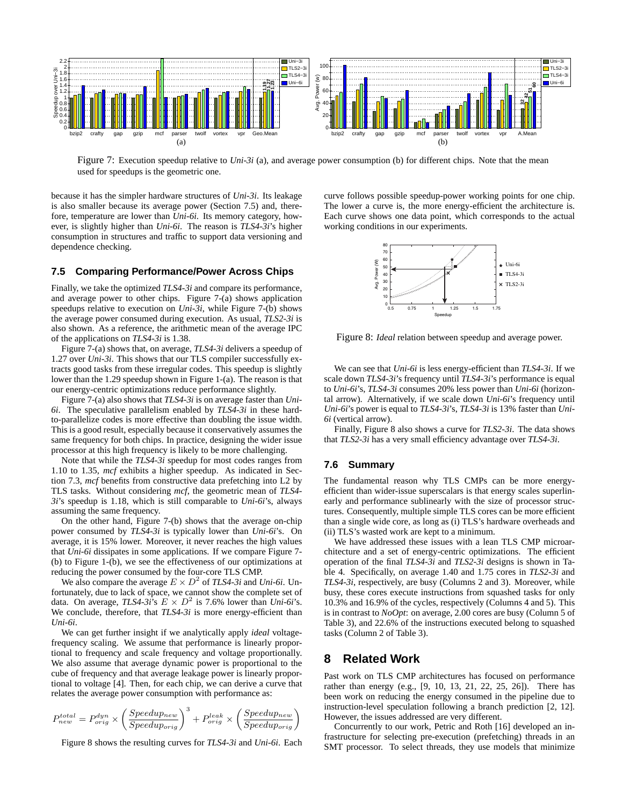

Figure 7: Execution speedup relative to *Uni-3i* (a), and average power consumption (b) for different chips. Note that the mean used for speedups is the geometric one.

because it has the simpler hardware structures of *Uni-3i*. Its leakage is also smaller because its average power (Section 7.5) and, therefore, temperature are lower than *Uni-6i*. Its memory category, however, is slightly higher than *Uni-6i*. The reason is *TLS4-3i*'s higher consumption in structures and traffic to support data versioning and dependence checking.

### **7.5 Comparing Performance/Power Across Chips**

Finally, we take the optimized *TLS4-3i* and compare its performance, and average power to other chips. Figure 7-(a) shows application speedups relative to execution on *Uni-3i*, while Figure 7-(b) shows the average power consumed during execution. As usual, *TLS2-3i* is also shown. As a reference, the arithmetic mean of the average IPC of the applications on *TLS4-3i* is 1.38.

Figure 7-(a) shows that, on average, *TLS4-3i* delivers a speedup of 1.27 over *Uni-3i*. This shows that our TLS compiler successfully extracts good tasks from these irregular codes. This speedup is slightly lower than the 1.29 speedup shown in Figure 1-(a). The reason is that our energy-centric optimizations reduce performance slightly.

Figure 7-(a) also shows that *TLS4-3i* is on average faster than *Uni-6i*. The speculative parallelism enabled by *TLS4-3i* in these hardto-parallelize codes is more effective than doubling the issue width. This is a good result, especially because it conservatively assumes the same frequency for both chips. In practice, designing the wider issue processor at this high frequency is likely to be more challenging.

Note that while the *TLS4-3i* speedup for most codes ranges from 1.10 to 1.35, *mcf* exhibits a higher speedup. As indicated in Section 7.3, *mcf* benefits from constructive data prefetching into L2 by TLS tasks. Without considering *mcf*, the geometric mean of *TLS4- 3i*'s speedup is 1.18, which is still comparable to *Uni-6i*'s, always assuming the same frequency.

On the other hand, Figure 7-(b) shows that the average on-chip power consumed by *TLS4-3i* is typically lower than *Uni-6i*'s. On average, it is 15% lower. Moreover, it never reaches the high values that *Uni-6i* dissipates in some applications. If we compare Figure 7- (b) to Figure 1-(b), we see the effectiveness of our optimizations at reducing the power consumed by the four-core TLS CMP.

We also compare the average  $E \times D^2$  of *TLS4-3i* and *Uni-6i*. Unfortunately, due to lack of space, we cannot show the complete set of data. On average, *TLS4-3i*'s  $E \times D^2$  is 7.6% lower than *Uni-6i*'s. We conclude, therefore, that *TLS4-3i* is more energy-efficient than *Uni-6i*.

We can get further insight if we analytically apply *ideal* voltagefrequency scaling. We assume that performance is linearly proportional to frequency and scale frequency and voltage proportionally. We also assume that average dynamic power is proportional to the cube of frequency and that average leakage power is linearly proportional to voltage [4]. Then, for each chip, we can derive a curve that relates the average power consumption with performance as:

$$
P_{new}^{total} = P_{orig}^{dyn} \times \left(\frac{Speedup_{new}}{Speedup_{orig}}\right)^3 + P_{orig}^{leak} \times \left(\frac{Speedup_{new}}{Speedup_{orig}}\right)
$$

Figure 8 shows the resulting curves for *TLS4-3i* and *Uni-6i*. Each

curve follows possible speedup-power working points for one chip. The lower a curve is, the more energy-efficient the architecture is. Each curve shows one data point, which corresponds to the actual working conditions in our experiments.



Figure 8: *Ideal* relation between speedup and average power.

We can see that *Uni-6i* is less energy-efficient than *TLS4-3i*. If we scale down *TLS4-3i*'s frequency until *TLS4-3i*'s performance is equal to *Uni-6i*'s, *TLS4-3i* consumes 20% less power than *Uni-6i* (horizontal arrow). Alternatively, if we scale down *Uni-6i*'s frequency until *Uni-6i*'s power is equal to *TLS4-3i*'s, *TLS4-3i* is 13% faster than *Uni-6i* (vertical arrow).

Finally, Figure 8 also shows a curve for *TLS2-3i*. The data shows that *TLS2-3i* has a very small efficiency advantage over *TLS4-3i*.

#### **7.6 Summary**

The fundamental reason why TLS CMPs can be more energyefficient than wider-issue superscalars is that energy scales superlinearly and performance sublinearly with the size of processor structures. Consequently, multiple simple TLS cores can be more efficient than a single wide core, as long as (i) TLS's hardware overheads and (ii) TLS's wasted work are kept to a minimum.

We have addressed these issues with a lean TLS CMP microarchitecture and a set of energy-centric optimizations. The efficient operation of the final *TLS4-3i* and *TLS2-3i* designs is shown in Table 4. Specifically, on average 1.40 and 1.75 cores in *TLS2-3i* and *TLS4-3i*, respectively, are busy (Columns 2 and 3). Moreover, while busy, these cores execute instructions from squashed tasks for only 10.3% and 16.9% of the cycles, respectively (Columns 4 and 5). This is in contrast to *NoOpt*: on average, 2.00 cores are busy (Column 5 of Table 3), and 22.6% of the instructions executed belong to squashed tasks (Column 2 of Table 3).

# **8 Related Work**

Past work on TLS CMP architectures has focused on performance rather than energy (e.g., [9, 10, 13, 21, 22, 25, 26]). There has been work on reducing the energy consumed in the pipeline due to instruction-level speculation following a branch prediction [2, 12]. However, the issues addressed are very different.

Concurrently to our work, Petric and Roth [16] developed an infrastructure for selecting pre-execution (prefetching) threads in an SMT processor. To select threads, they use models that minimize